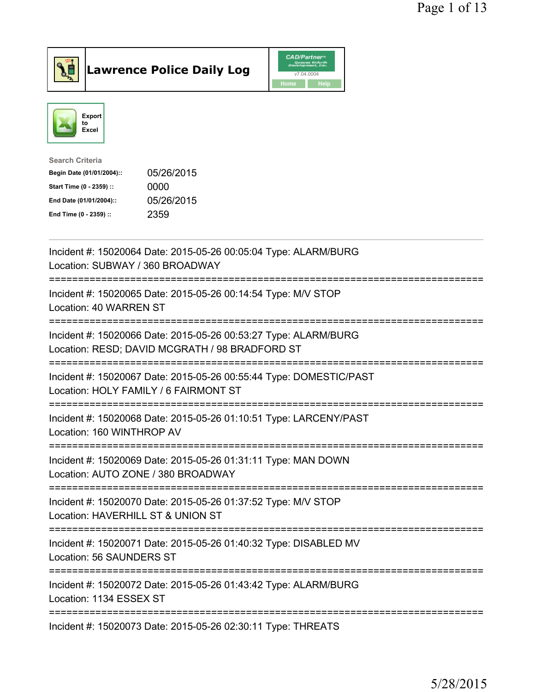

## Lawrence Police Daily Log

|      | <b>CAD/Partner</b> <sup>*</sup><br>Queues Enforth<br>Development, Inc. |
|------|------------------------------------------------------------------------|
|      | v7.04.0004                                                             |
| Home | <b>Help</b>                                                            |



| Search Criteria           |            |
|---------------------------|------------|
| Begin Date (01/01/2004):: | 05/26/2015 |
| Start Time (0 - 2359) ::  | 0000       |
| End Date (01/01/2004)::   | 05/26/2015 |
| End Time (0 - 2359) ::    | 2359       |
|                           |            |

| Incident #: 15020064 Date: 2015-05-26 00:05:04 Type: ALARM/BURG<br>Location: SUBWAY / 360 BROADWAY                                |
|-----------------------------------------------------------------------------------------------------------------------------------|
| Incident #: 15020065 Date: 2015-05-26 00:14:54 Type: M/V STOP<br>Location: 40 WARREN ST                                           |
| Incident #: 15020066 Date: 2015-05-26 00:53:27 Type: ALARM/BURG<br>Location: RESD; DAVID MCGRATH / 98 BRADFORD ST                 |
| Incident #: 15020067 Date: 2015-05-26 00:55:44 Type: DOMESTIC/PAST<br>Location: HOLY FAMILY / 6 FAIRMONT ST                       |
| Incident #: 15020068 Date: 2015-05-26 01:10:51 Type: LARCENY/PAST<br>Location: 160 WINTHROP AV                                    |
| Incident #: 15020069 Date: 2015-05-26 01:31:11 Type: MAN DOWN<br>Location: AUTO ZONE / 380 BROADWAY<br>-------------------------- |
| Incident #: 15020070 Date: 2015-05-26 01:37:52 Type: M/V STOP<br>Location: HAVERHILL ST & UNION ST<br>=========================   |
| Incident #: 15020071 Date: 2015-05-26 01:40:32 Type: DISABLED MV<br><b>Location: 56 SAUNDERS ST</b>                               |
| Incident #: 15020072 Date: 2015-05-26 01:43:42 Type: ALARM/BURG<br>Location: 1134 ESSEX ST                                        |
| Incident #: 15020073 Date: 2015-05-26 02:30:11 Type: THREATS                                                                      |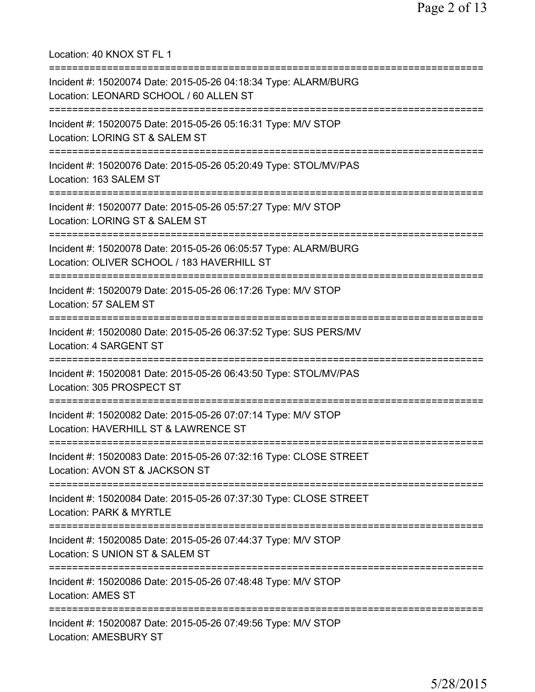Location: 40 KNOX ST FL 1 =========================================================================== Incident #: 15020074 Date: 2015-05-26 04:18:34 Type: ALARM/BURG Location: LEONARD SCHOOL / 60 ALLEN ST =========================================================================== Incident #: 15020075 Date: 2015-05-26 05:16:31 Type: M/V STOP Location: LORING ST & SALEM ST =========================================================================== Incident #: 15020076 Date: 2015-05-26 05:20:49 Type: STOL/MV/PAS Location: 163 SALEM ST =========================================================================== Incident #: 15020077 Date: 2015-05-26 05:57:27 Type: M/V STOP Location: LORING ST & SALEM ST =========================================================================== Incident #: 15020078 Date: 2015-05-26 06:05:57 Type: ALARM/BURG Location: OLIVER SCHOOL / 183 HAVERHILL ST =========================================================================== Incident #: 15020079 Date: 2015-05-26 06:17:26 Type: M/V STOP Location: 57 SALEM ST =========================================================================== Incident #: 15020080 Date: 2015-05-26 06:37:52 Type: SUS PERS/MV Location: 4 SARGENT ST =========================================================================== Incident #: 15020081 Date: 2015-05-26 06:43:50 Type: STOL/MV/PAS Location: 305 PROSPECT ST =========================================================================== Incident #: 15020082 Date: 2015-05-26 07:07:14 Type: M/V STOP Location: HAVERHILL ST & LAWRENCE ST =========================================================================== Incident #: 15020083 Date: 2015-05-26 07:32:16 Type: CLOSE STREET Location: AVON ST & JACKSON ST =========================================================================== Incident #: 15020084 Date: 2015-05-26 07:37:30 Type: CLOSE STREET Location: PARK & MYRTLE =========================================================================== Incident #: 15020085 Date: 2015-05-26 07:44:37 Type: M/V STOP Location: S UNION ST & SALEM ST =========================================================================== Incident #: 15020086 Date: 2015-05-26 07:48:48 Type: M/V STOP Location: AMES ST =========================================================================== Incident #: 15020087 Date: 2015-05-26 07:49:56 Type: M/V STOP Location: AMESBURY ST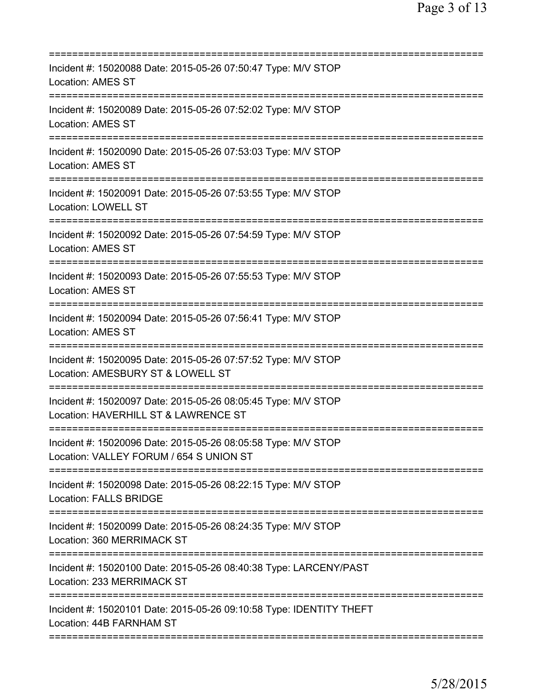| Incident #: 15020088 Date: 2015-05-26 07:50:47 Type: M/V STOP<br><b>Location: AMES ST</b>                                   |
|-----------------------------------------------------------------------------------------------------------------------------|
| Incident #: 15020089 Date: 2015-05-26 07:52:02 Type: M/V STOP<br><b>Location: AMES ST</b>                                   |
| Incident #: 15020090 Date: 2015-05-26 07:53:03 Type: M/V STOP<br><b>Location: AMES ST</b>                                   |
| Incident #: 15020091 Date: 2015-05-26 07:53:55 Type: M/V STOP<br><b>Location: LOWELL ST</b>                                 |
| Incident #: 15020092 Date: 2015-05-26 07:54:59 Type: M/V STOP<br><b>Location: AMES ST</b>                                   |
| Incident #: 15020093 Date: 2015-05-26 07:55:53 Type: M/V STOP<br>Location: AMES ST                                          |
| Incident #: 15020094 Date: 2015-05-26 07:56:41 Type: M/V STOP<br><b>Location: AMES ST</b><br>===============                |
| Incident #: 15020095 Date: 2015-05-26 07:57:52 Type: M/V STOP<br>Location: AMESBURY ST & LOWELL ST                          |
| Incident #: 15020097 Date: 2015-05-26 08:05:45 Type: M/V STOP<br>Location: HAVERHILL ST & LAWRENCE ST                       |
| Incident #: 15020096 Date: 2015-05-26 08:05:58 Type: M/V STOP<br>Location: VALLEY FORUM / 654 S UNION ST                    |
| Incident #: 15020098 Date: 2015-05-26 08:22:15 Type: M/V STOP<br><b>Location: FALLS BRIDGE</b>                              |
| ============================<br>Incident #: 15020099 Date: 2015-05-26 08:24:35 Type: M/V STOP<br>Location: 360 MERRIMACK ST |
| Incident #: 15020100 Date: 2015-05-26 08:40:38 Type: LARCENY/PAST<br>Location: 233 MERRIMACK ST                             |
| Incident #: 15020101 Date: 2015-05-26 09:10:58 Type: IDENTITY THEFT<br>Location: 44B FARNHAM ST                             |
|                                                                                                                             |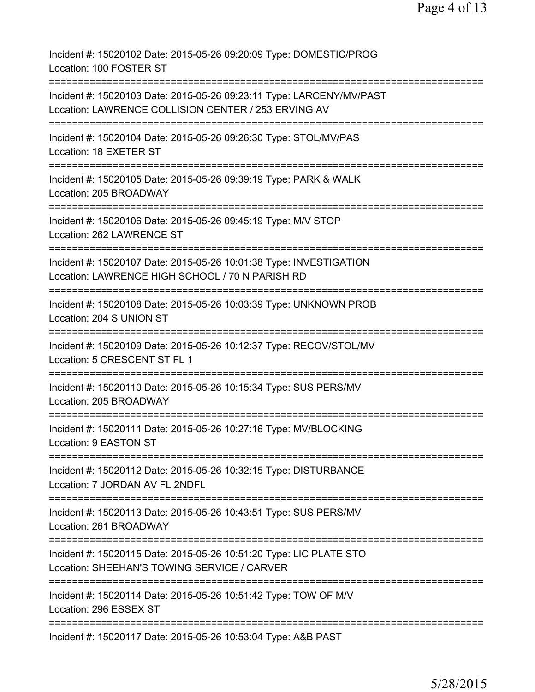Incident #: 15020102 Date: 2015-05-26 09:20:09 Type: DOMESTIC/PROG Location: 100 FOSTER ST =========================================================================== Incident #: 15020103 Date: 2015-05-26 09:23:11 Type: LARCENY/MV/PAST Location: LAWRENCE COLLISION CENTER / 253 ERVING AV =========================================================================== Incident #: 15020104 Date: 2015-05-26 09:26:30 Type: STOL/MV/PAS Location: 18 EXETER ST =========================================================================== Incident #: 15020105 Date: 2015-05-26 09:39:19 Type: PARK & WALK Location: 205 BROADWAY =========================================================================== Incident #: 15020106 Date: 2015-05-26 09:45:19 Type: M/V STOP Location: 262 LAWRENCE ST =========================================================================== Incident #: 15020107 Date: 2015-05-26 10:01:38 Type: INVESTIGATION Location: LAWRENCE HIGH SCHOOL / 70 N PARISH RD =========================================================================== Incident #: 15020108 Date: 2015-05-26 10:03:39 Type: UNKNOWN PROB Location: 204 S UNION ST =========================================================================== Incident #: 15020109 Date: 2015-05-26 10:12:37 Type: RECOV/STOL/MV Location: 5 CRESCENT ST FL 1 =========================================================================== Incident #: 15020110 Date: 2015-05-26 10:15:34 Type: SUS PERS/MV Location: 205 BROADWAY =========================================================================== Incident #: 15020111 Date: 2015-05-26 10:27:16 Type: MV/BLOCKING Location: 9 EASTON ST =========================================================================== Incident #: 15020112 Date: 2015-05-26 10:32:15 Type: DISTURBANCE Location: 7 JORDAN AV FL 2NDFL =========================================================================== Incident #: 15020113 Date: 2015-05-26 10:43:51 Type: SUS PERS/MV Location: 261 BROADWAY =========================================================================== Incident #: 15020115 Date: 2015-05-26 10:51:20 Type: LIC PLATE STO Location: SHEEHAN'S TOWING SERVICE / CARVER =========================================================================== Incident #: 15020114 Date: 2015-05-26 10:51:42 Type: TOW OF M/V Location: 296 ESSEX ST =========================================================================== Incident #: 15020117 Date: 2015-05-26 10:53:04 Type: A&B PAST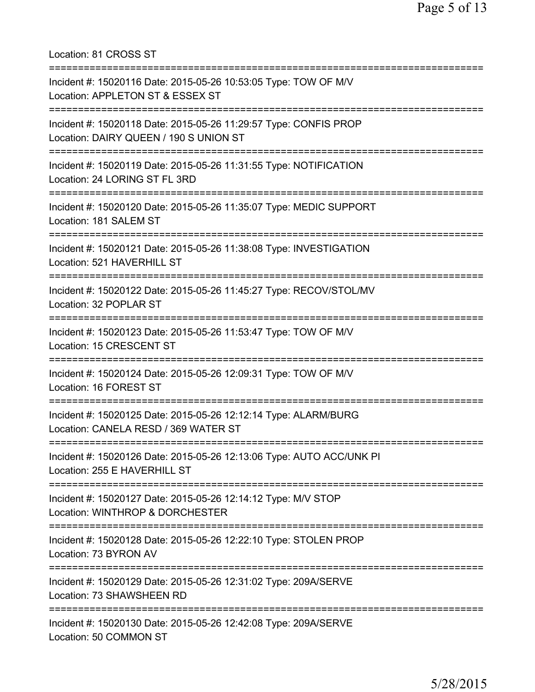Location: 81 CROSS ST =========================================================================== Incident #: 15020116 Date: 2015-05-26 10:53:05 Type: TOW OF M/V Location: APPLETON ST & ESSEX ST =========================================================================== Incident #: 15020118 Date: 2015-05-26 11:29:57 Type: CONFIS PROP Location: DAIRY QUEEN / 190 S UNION ST =========================================================================== Incident #: 15020119 Date: 2015-05-26 11:31:55 Type: NOTIFICATION Location: 24 LORING ST FL 3RD =========================================================================== Incident #: 15020120 Date: 2015-05-26 11:35:07 Type: MEDIC SUPPORT Location: 181 SALEM ST =========================================================================== Incident #: 15020121 Date: 2015-05-26 11:38:08 Type: INVESTIGATION Location: 521 HAVERHILL ST =========================================================================== Incident #: 15020122 Date: 2015-05-26 11:45:27 Type: RECOV/STOL/MV Location: 32 POPLAR ST =========================================================================== Incident #: 15020123 Date: 2015-05-26 11:53:47 Type: TOW OF M/V Location: 15 CRESCENT ST =========================================================================== Incident #: 15020124 Date: 2015-05-26 12:09:31 Type: TOW OF M/V Location: 16 FOREST ST =========================================================================== Incident #: 15020125 Date: 2015-05-26 12:12:14 Type: ALARM/BURG Location: CANELA RESD / 369 WATER ST =========================================================================== Incident #: 15020126 Date: 2015-05-26 12:13:06 Type: AUTO ACC/UNK PI Location: 255 E HAVERHILL ST =========================================================================== Incident #: 15020127 Date: 2015-05-26 12:14:12 Type: M/V STOP Location: WINTHROP & DORCHESTER =========================================================================== Incident #: 15020128 Date: 2015-05-26 12:22:10 Type: STOLEN PROP Location: 73 BYRON AV =========================================================================== Incident #: 15020129 Date: 2015-05-26 12:31:02 Type: 209A/SERVE Location: 73 SHAWSHEEN RD =========================================================================== Incident #: 15020130 Date: 2015-05-26 12:42:08 Type: 209A/SERVE Location: 50 COMMON ST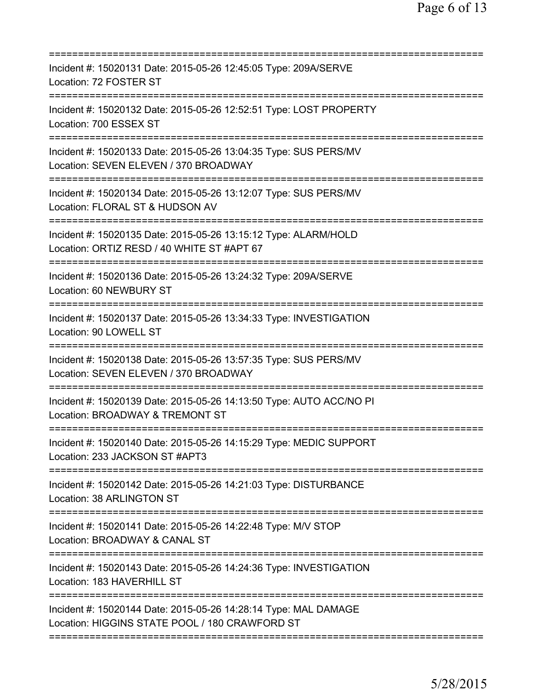| Incident #: 15020131 Date: 2015-05-26 12:45:05 Type: 209A/SERVE<br>Location: 72 FOSTER ST                                                            |
|------------------------------------------------------------------------------------------------------------------------------------------------------|
| Incident #: 15020132 Date: 2015-05-26 12:52:51 Type: LOST PROPERTY<br>Location: 700 ESSEX ST                                                         |
| Incident #: 15020133 Date: 2015-05-26 13:04:35 Type: SUS PERS/MV<br>Location: SEVEN ELEVEN / 370 BROADWAY                                            |
| Incident #: 15020134 Date: 2015-05-26 13:12:07 Type: SUS PERS/MV<br>Location: FLORAL ST & HUDSON AV                                                  |
| Incident #: 15020135 Date: 2015-05-26 13:15:12 Type: ALARM/HOLD<br>Location: ORTIZ RESD / 40 WHITE ST #APT 67<br>=================================== |
| Incident #: 15020136 Date: 2015-05-26 13:24:32 Type: 209A/SERVE<br>Location: 60 NEWBURY ST                                                           |
| ;====================================<br>Incident #: 15020137 Date: 2015-05-26 13:34:33 Type: INVESTIGATION<br>Location: 90 LOWELL ST                |
| Incident #: 15020138 Date: 2015-05-26 13:57:35 Type: SUS PERS/MV<br>Location: SEVEN ELEVEN / 370 BROADWAY                                            |
| Incident #: 15020139 Date: 2015-05-26 14:13:50 Type: AUTO ACC/NO PI<br>Location: BROADWAY & TREMONT ST                                               |
| Incident #: 15020140 Date: 2015-05-26 14:15:29 Type: MEDIC SUPPORT<br>Location: 233 JACKSON ST #APT3                                                 |
| Incident #: 15020142 Date: 2015-05-26 14:21:03 Type: DISTURBANCE<br>Location: 38 ARLINGTON ST                                                        |
| Incident #: 15020141 Date: 2015-05-26 14:22:48 Type: M/V STOP<br>Location: BROADWAY & CANAL ST                                                       |
| Incident #: 15020143 Date: 2015-05-26 14:24:36 Type: INVESTIGATION<br>Location: 183 HAVERHILL ST                                                     |
| Incident #: 15020144 Date: 2015-05-26 14:28:14 Type: MAL DAMAGE<br>Location: HIGGINS STATE POOL / 180 CRAWFORD ST                                    |
|                                                                                                                                                      |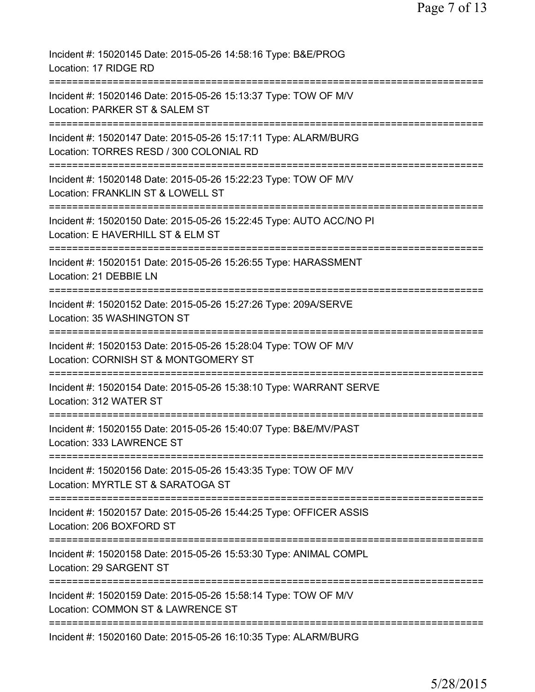| Incident #: 15020145 Date: 2015-05-26 14:58:16 Type: B&E/PROG<br>Location: 17 RIDGE RD                                               |
|--------------------------------------------------------------------------------------------------------------------------------------|
| Incident #: 15020146 Date: 2015-05-26 15:13:37 Type: TOW OF M/V<br>Location: PARKER ST & SALEM ST                                    |
| Incident #: 15020147 Date: 2015-05-26 15:17:11 Type: ALARM/BURG<br>Location: TORRES RESD / 300 COLONIAL RD                           |
| ============================<br>Incident #: 15020148 Date: 2015-05-26 15:22:23 Type: TOW OF M/V<br>Location: FRANKLIN ST & LOWELL ST |
| Incident #: 15020150 Date: 2015-05-26 15:22:45 Type: AUTO ACC/NO PI<br>Location: E HAVERHILL ST & ELM ST                             |
| Incident #: 15020151 Date: 2015-05-26 15:26:55 Type: HARASSMENT<br>Location: 21 DEBBIE LN                                            |
| Incident #: 15020152 Date: 2015-05-26 15:27:26 Type: 209A/SERVE<br>Location: 35 WASHINGTON ST                                        |
| ========<br>Incident #: 15020153 Date: 2015-05-26 15:28:04 Type: TOW OF M/V<br>Location: CORNISH ST & MONTGOMERY ST                  |
| Incident #: 15020154 Date: 2015-05-26 15:38:10 Type: WARRANT SERVE<br>Location: 312 WATER ST                                         |
| Incident #: 15020155 Date: 2015-05-26 15:40:07 Type: B&E/MV/PAST<br>Location: 333 LAWRENCE ST                                        |
| Incident #: 15020156 Date: 2015-05-26 15:43:35 Type: TOW OF M/V<br>Location: MYRTLE ST & SARATOGA ST                                 |
| Incident #: 15020157 Date: 2015-05-26 15:44:25 Type: OFFICER ASSIS<br>Location: 206 BOXFORD ST                                       |
| Incident #: 15020158 Date: 2015-05-26 15:53:30 Type: ANIMAL COMPL<br>Location: 29 SARGENT ST                                         |
| Incident #: 15020159 Date: 2015-05-26 15:58:14 Type: TOW OF M/V<br>Location: COMMON ST & LAWRENCE ST                                 |
| Incident #: 15020160 Date: 2015-05-26 16:10:35 Type: ALARM/BURG                                                                      |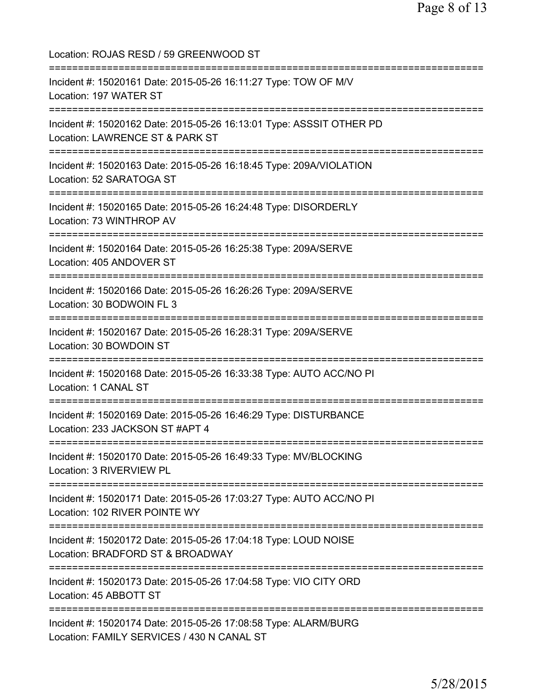| Location: ROJAS RESD / 59 GREENWOOD ST                                                                              |
|---------------------------------------------------------------------------------------------------------------------|
| Incident #: 15020161 Date: 2015-05-26 16:11:27 Type: TOW OF M/V<br>Location: 197 WATER ST                           |
| Incident #: 15020162 Date: 2015-05-26 16:13:01 Type: ASSSIT OTHER PD<br>Location: LAWRENCE ST & PARK ST             |
| Incident #: 15020163 Date: 2015-05-26 16:18:45 Type: 209A/VIOLATION<br>Location: 52 SARATOGA ST                     |
| Incident #: 15020165 Date: 2015-05-26 16:24:48 Type: DISORDERLY<br>Location: 73 WINTHROP AV                         |
| Incident #: 15020164 Date: 2015-05-26 16:25:38 Type: 209A/SERVE<br>Location: 405 ANDOVER ST                         |
| Incident #: 15020166 Date: 2015-05-26 16:26:26 Type: 209A/SERVE<br>Location: 30 BODWOIN FL 3<br>==================  |
| Incident #: 15020167 Date: 2015-05-26 16:28:31 Type: 209A/SERVE<br>Location: 30 BOWDOIN ST                          |
| Incident #: 15020168 Date: 2015-05-26 16:33:38 Type: AUTO ACC/NO PI<br>Location: 1 CANAL ST                         |
| Incident #: 15020169 Date: 2015-05-26 16:46:29 Type: DISTURBANCE<br>Location: 233 JACKSON ST #APT 4                 |
| Incident #: 15020170 Date: 2015-05-26 16:49:33 Type: MV/BLOCKING<br>Location: 3 RIVERVIEW PL                        |
| Incident #: 15020171 Date: 2015-05-26 17:03:27 Type: AUTO ACC/NO PI<br>Location: 102 RIVER POINTE WY                |
| :===========<br>Incident #: 15020172 Date: 2015-05-26 17:04:18 Type: LOUD NOISE<br>Location: BRADFORD ST & BROADWAY |
| Incident #: 15020173 Date: 2015-05-26 17:04:58 Type: VIO CITY ORD<br>Location: 45 ABBOTT ST                         |
| Incident #: 15020174 Date: 2015-05-26 17:08:58 Type: ALARM/BURG<br>Location: FAMILY SERVICES / 430 N CANAL ST       |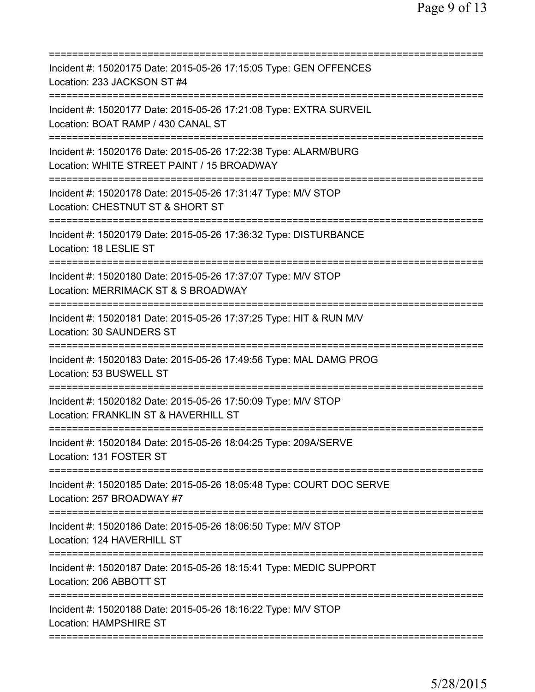| Incident #: 15020175 Date: 2015-05-26 17:15:05 Type: GEN OFFENCES<br>Location: 233 JACKSON ST #4                                     |
|--------------------------------------------------------------------------------------------------------------------------------------|
| Incident #: 15020177 Date: 2015-05-26 17:21:08 Type: EXTRA SURVEIL<br>Location: BOAT RAMP / 430 CANAL ST                             |
| Incident #: 15020176 Date: 2015-05-26 17:22:38 Type: ALARM/BURG<br>Location: WHITE STREET PAINT / 15 BROADWAY                        |
| ===============================<br>Incident #: 15020178 Date: 2015-05-26 17:31:47 Type: M/V STOP<br>Location: CHESTNUT ST & SHORT ST |
| =======================<br>Incident #: 15020179 Date: 2015-05-26 17:36:32 Type: DISTURBANCE<br>Location: 18 LESLIE ST                |
| Incident #: 15020180 Date: 2015-05-26 17:37:07 Type: M/V STOP<br>Location: MERRIMACK ST & S BROADWAY                                 |
| Incident #: 15020181 Date: 2015-05-26 17:37:25 Type: HIT & RUN M/V<br>Location: 30 SAUNDERS ST                                       |
| Incident #: 15020183 Date: 2015-05-26 17:49:56 Type: MAL DAMG PROG<br>Location: 53 BUSWELL ST                                        |
| Incident #: 15020182 Date: 2015-05-26 17:50:09 Type: M/V STOP<br>Location: FRANKLIN ST & HAVERHILL ST                                |
| Incident #: 15020184 Date: 2015-05-26 18:04:25 Type: 209A/SERVE<br>Location: 131 FOSTER ST                                           |
| Incident #: 15020185 Date: 2015-05-26 18:05:48 Type: COURT DOC SERVE<br>Location: 257 BROADWAY #7                                    |
| Incident #: 15020186 Date: 2015-05-26 18:06:50 Type: M/V STOP<br>Location: 124 HAVERHILL ST                                          |
| Incident #: 15020187 Date: 2015-05-26 18:15:41 Type: MEDIC SUPPORT<br>Location: 206 ABBOTT ST                                        |
| Incident #: 15020188 Date: 2015-05-26 18:16:22 Type: M/V STOP<br><b>Location: HAMPSHIRE ST</b>                                       |
|                                                                                                                                      |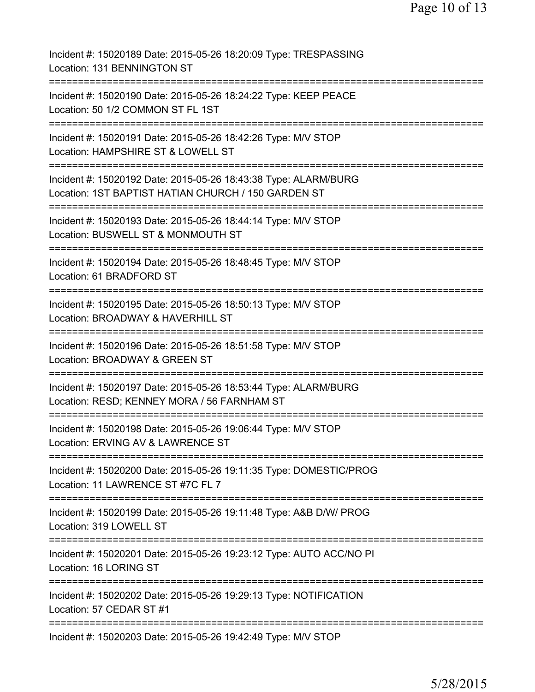| Incident #: 15020189 Date: 2015-05-26 18:20:09 Type: TRESPASSING<br>Location: 131 BENNINGTON ST                             |
|-----------------------------------------------------------------------------------------------------------------------------|
| Incident #: 15020190 Date: 2015-05-26 18:24:22 Type: KEEP PEACE<br>Location: 50 1/2 COMMON ST FL 1ST                        |
| Incident #: 15020191 Date: 2015-05-26 18:42:26 Type: M/V STOP<br>Location: HAMPSHIRE ST & LOWELL ST                         |
| Incident #: 15020192 Date: 2015-05-26 18:43:38 Type: ALARM/BURG<br>Location: 1ST BAPTIST HATIAN CHURCH / 150 GARDEN ST      |
| Incident #: 15020193 Date: 2015-05-26 18:44:14 Type: M/V STOP<br>Location: BUSWELL ST & MONMOUTH ST                         |
| Incident #: 15020194 Date: 2015-05-26 18:48:45 Type: M/V STOP<br>Location: 61 BRADFORD ST                                   |
| Incident #: 15020195 Date: 2015-05-26 18:50:13 Type: M/V STOP<br>Location: BROADWAY & HAVERHILL ST                          |
| Incident #: 15020196 Date: 2015-05-26 18:51:58 Type: M/V STOP<br>Location: BROADWAY & GREEN ST                              |
| =========<br>Incident #: 15020197 Date: 2015-05-26 18:53:44 Type: ALARM/BURG<br>Location: RESD; KENNEY MORA / 56 FARNHAM ST |
| Incident #: 15020198 Date: 2015-05-26 19:06:44 Type: M/V STOP<br>Location: ERVING AV & LAWRENCE ST                          |
| Incident #: 15020200 Date: 2015-05-26 19:11:35 Type: DOMESTIC/PROG<br>Location: 11 LAWRENCE ST #7C FL 7                     |
| Incident #: 15020199 Date: 2015-05-26 19:11:48 Type: A&B D/W/ PROG<br>Location: 319 LOWELL ST                               |
| Incident #: 15020201 Date: 2015-05-26 19:23:12 Type: AUTO ACC/NO PI<br>Location: 16 LORING ST                               |
| Incident #: 15020202 Date: 2015-05-26 19:29:13 Type: NOTIFICATION<br>Location: 57 CEDAR ST #1                               |
| Incident #: 15020203 Date: 2015-05-26 19:42:49 Type: M/V STOP                                                               |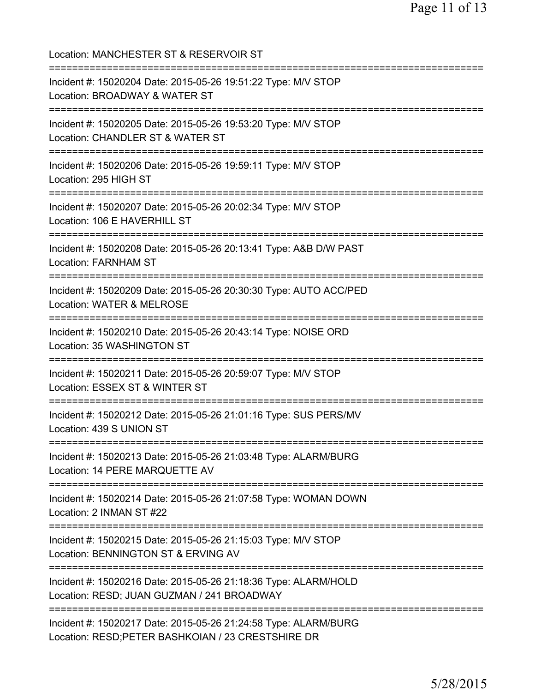Location: MANCHESTER ST & RESERVOIR ST =========================================================================== Incident #: 15020204 Date: 2015-05-26 19:51:22 Type: M/V STOP Location: BROADWAY & WATER ST =========================================================================== Incident #: 15020205 Date: 2015-05-26 19:53:20 Type: M/V STOP Location: CHANDLER ST & WATER ST =========================================================================== Incident #: 15020206 Date: 2015-05-26 19:59:11 Type: M/V STOP Location: 295 HIGH ST =========================================================================== Incident #: 15020207 Date: 2015-05-26 20:02:34 Type: M/V STOP Location: 106 E HAVERHILL ST =========================================================================== Incident #: 15020208 Date: 2015-05-26 20:13:41 Type: A&B D/W PAST Location: FARNHAM ST =========================================================================== Incident #: 15020209 Date: 2015-05-26 20:30:30 Type: AUTO ACC/PED Location: WATER & MELROSE =========================================================================== Incident #: 15020210 Date: 2015-05-26 20:43:14 Type: NOISE ORD Location: 35 WASHINGTON ST =========================================================================== Incident #: 15020211 Date: 2015-05-26 20:59:07 Type: M/V STOP Location: ESSEX ST & WINTER ST =========================================================================== Incident #: 15020212 Date: 2015-05-26 21:01:16 Type: SUS PERS/MV Location: 439 S UNION ST =========================================================================== Incident #: 15020213 Date: 2015-05-26 21:03:48 Type: ALARM/BURG Location: 14 PERE MARQUETTE AV =========================================================================== Incident #: 15020214 Date: 2015-05-26 21:07:58 Type: WOMAN DOWN Location: 2 INMAN ST #22 =========================================================================== Incident #: 15020215 Date: 2015-05-26 21:15:03 Type: M/V STOP Location: BENNINGTON ST & ERVING AV =========================================================================== Incident #: 15020216 Date: 2015-05-26 21:18:36 Type: ALARM/HOLD Location: RESD; JUAN GUZMAN / 241 BROADWAY =========================================================================== Incident #: 15020217 Date: 2015-05-26 21:24:58 Type: ALARM/BURG Location: RESD;PETER BASHKOIAN / 23 CRESTSHIRE DR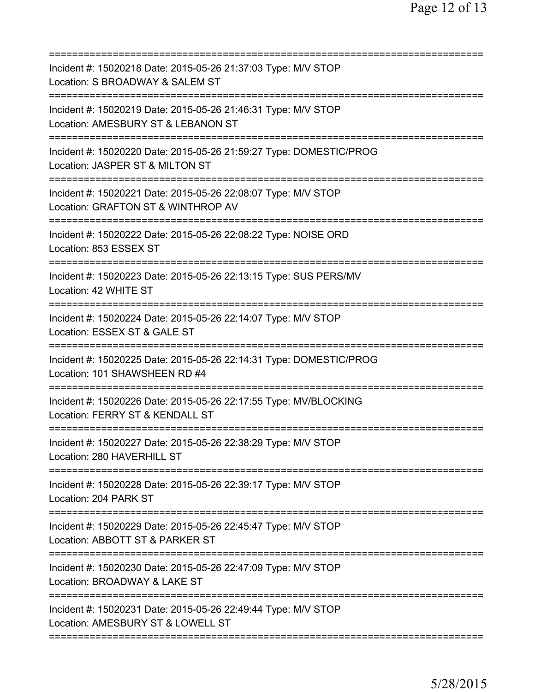| Incident #: 15020218 Date: 2015-05-26 21:37:03 Type: M/V STOP<br>Location: S BROADWAY & SALEM ST<br>--------------------------------<br>===========================                                                                                                                                     |
|---------------------------------------------------------------------------------------------------------------------------------------------------------------------------------------------------------------------------------------------------------------------------------------------------------|
| Incident #: 15020219 Date: 2015-05-26 21:46:31 Type: M/V STOP<br>Location: AMESBURY ST & LEBANON ST<br>================================                                                                                                                                                                 |
| Incident #: 15020220 Date: 2015-05-26 21:59:27 Type: DOMESTIC/PROG<br>Location: JASPER ST & MILTON ST                                                                                                                                                                                                   |
| Incident #: 15020221 Date: 2015-05-26 22:08:07 Type: M/V STOP<br>Location: GRAFTON ST & WINTHROP AV                                                                                                                                                                                                     |
| Incident #: 15020222 Date: 2015-05-26 22:08:22 Type: NOISE ORD<br>Location: 853 ESSEX ST                                                                                                                                                                                                                |
| Incident #: 15020223 Date: 2015-05-26 22:13:15 Type: SUS PERS/MV<br>Location: 42 WHITE ST                                                                                                                                                                                                               |
| Incident #: 15020224 Date: 2015-05-26 22:14:07 Type: M/V STOP<br>Location: ESSEX ST & GALE ST                                                                                                                                                                                                           |
| Incident #: 15020225 Date: 2015-05-26 22:14:31 Type: DOMESTIC/PROG<br>Location: 101 SHAWSHEEN RD #4                                                                                                                                                                                                     |
| Incident #: 15020226 Date: 2015-05-26 22:17:55 Type: MV/BLOCKING<br>Location: FERRY ST & KENDALL ST                                                                                                                                                                                                     |
| Incident #: 15020227 Date: 2015-05-26 22:38:29 Type: M/V STOP<br>Location: 280 HAVERHILL ST                                                                                                                                                                                                             |
| ==================================<br>Incident #: 15020228 Date: 2015-05-26 22:39:17 Type: M/V STOP                                                                                                                                                                                                     |
| Location: 204 PARK ST                                                                                                                                                                                                                                                                                   |
|                                                                                                                                                                                                                                                                                                         |
|                                                                                                                                                                                                                                                                                                         |
| Incident #: 15020229 Date: 2015-05-26 22:45:47 Type: M/V STOP<br>Location: ABBOTT ST & PARKER ST<br>Incident #: 15020230 Date: 2015-05-26 22:47:09 Type: M/V STOP<br>Location: BROADWAY & LAKE ST<br>Incident #: 15020231 Date: 2015-05-26 22:49:44 Type: M/V STOP<br>Location: AMESBURY ST & LOWELL ST |